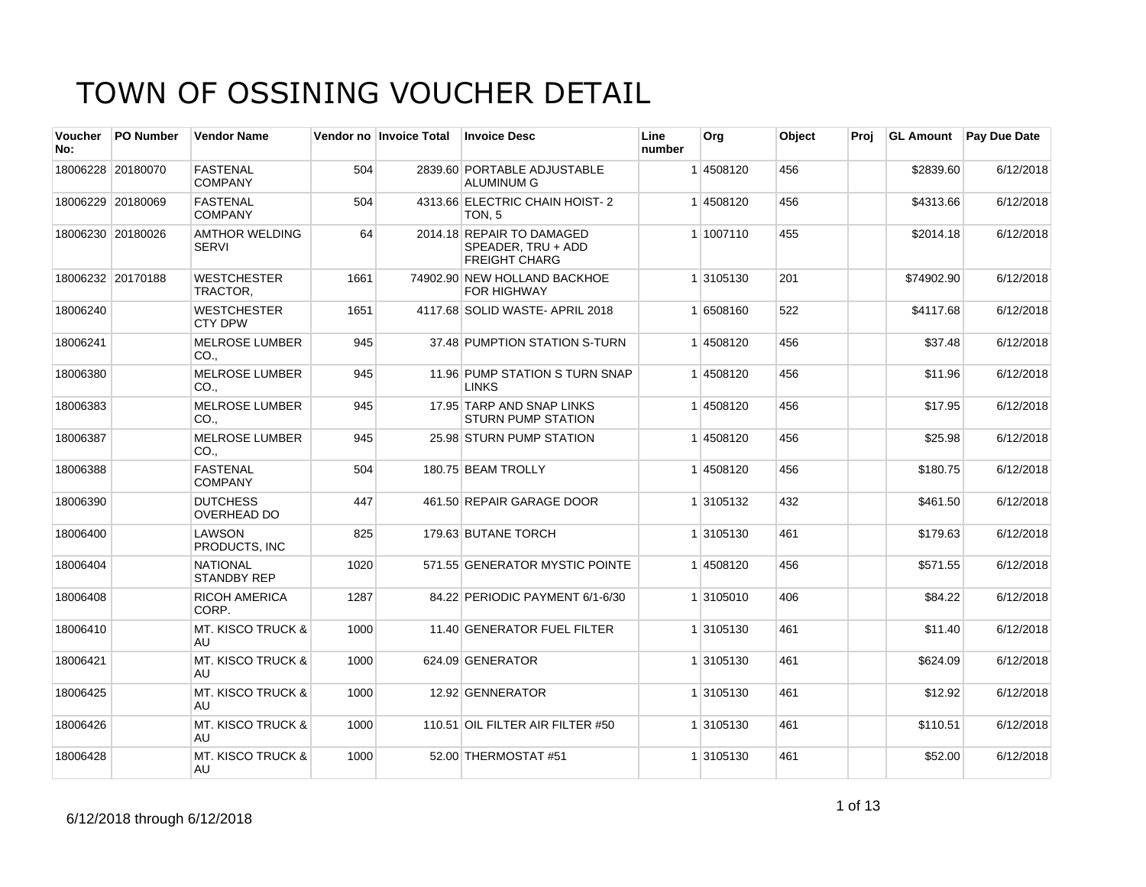| <b>Voucher</b><br>No: | <b>PO Number</b>  | <b>Vendor Name</b>                    |      | Vendor no Invoice Total | <b>Invoice Desc</b>                                                     | Line<br>number | Org       | Object | Proj | <b>GL Amount</b> | <b>Pay Due Date</b> |
|-----------------------|-------------------|---------------------------------------|------|-------------------------|-------------------------------------------------------------------------|----------------|-----------|--------|------|------------------|---------------------|
|                       | 18006228 20180070 | <b>FASTENAL</b><br><b>COMPANY</b>     | 504  |                         | 2839.60 PORTABLE ADJUSTABLE<br><b>ALUMINUM G</b>                        |                | 14508120  | 456    |      | \$2839.60        | 6/12/2018           |
|                       | 18006229 20180069 | <b>FASTENAL</b><br><b>COMPANY</b>     | 504  |                         | 4313.66 ELECTRIC CHAIN HOIST-2<br>TON <sub>.5</sub>                     |                | 14508120  | 456    |      | \$4313.66        | 6/12/2018           |
|                       | 18006230 20180026 | <b>AMTHOR WELDING</b><br><b>SERVI</b> | 64   |                         | 2014.18 REPAIR TO DAMAGED<br>SPEADER, TRU + ADD<br><b>FREIGHT CHARG</b> |                | 1 1007110 | 455    |      | \$2014.18        | 6/12/2018           |
|                       | 18006232 20170188 | <b>WESTCHESTER</b><br>TRACTOR,        | 1661 |                         | 74902.90 NEW HOLLAND BACKHOE<br><b>FOR HIGHWAY</b>                      |                | 1 3105130 | 201    |      | \$74902.90       | 6/12/2018           |
| 18006240              |                   | <b>WESTCHESTER</b><br><b>CTY DPW</b>  | 1651 |                         | 4117.68 SOLID WASTE- APRIL 2018                                         |                | 1 6508160 | 522    |      | \$4117.68        | 6/12/2018           |
| 18006241              |                   | <b>MELROSE LUMBER</b><br>CO.,         | 945  |                         | 37.48 PUMPTION STATION S-TURN                                           |                | 1 4508120 | 456    |      | \$37.48          | 6/12/2018           |
| 18006380              |                   | <b>MELROSE LUMBER</b><br>CO.,         | 945  |                         | 11.96 PUMP STATION S TURN SNAP<br><b>LINKS</b>                          |                | 14508120  | 456    |      | \$11.96          | 6/12/2018           |
| 18006383              |                   | <b>MELROSE LUMBER</b><br>CO.,         | 945  |                         | 17.95 TARP AND SNAP LINKS<br><b>STURN PUMP STATION</b>                  |                | 1 4508120 | 456    |      | \$17.95          | 6/12/2018           |
| 18006387              |                   | <b>MELROSE LUMBER</b><br>CO.,         | 945  |                         | 25.98 STURN PUMP STATION                                                |                | 14508120  | 456    |      | \$25.98          | 6/12/2018           |
| 18006388              |                   | <b>FASTENAL</b><br><b>COMPANY</b>     | 504  |                         | 180.75 BEAM TROLLY                                                      |                | 14508120  | 456    |      | \$180.75         | 6/12/2018           |
| 18006390              |                   | <b>DUTCHESS</b><br><b>OVERHEAD DO</b> | 447  |                         | 461.50 REPAIR GARAGE DOOR                                               |                | 1 3105132 | 432    |      | \$461.50         | 6/12/2018           |
| 18006400              |                   | <b>LAWSON</b><br>PRODUCTS, INC        | 825  |                         | 179.63 BUTANE TORCH                                                     |                | 1 3105130 | 461    |      | \$179.63         | 6/12/2018           |
| 18006404              |                   | <b>NATIONAL</b><br><b>STANDBY REP</b> | 1020 |                         | 571.55 GENERATOR MYSTIC POINTE                                          |                | 14508120  | 456    |      | \$571.55         | 6/12/2018           |
| 18006408              |                   | <b>RICOH AMERICA</b><br>CORP.         | 1287 |                         | 84.22 PERIODIC PAYMENT 6/1-6/30                                         |                | 1 3105010 | 406    |      | \$84.22          | 6/12/2018           |
| 18006410              |                   | <b>MT. KISCO TRUCK &amp;</b><br>AU    | 1000 |                         | 11.40 GENERATOR FUEL FILTER                                             |                | 1 3105130 | 461    |      | \$11.40          | 6/12/2018           |
| 18006421              |                   | <b>MT. KISCO TRUCK &amp;</b><br>AU    | 1000 |                         | 624.09 GENERATOR                                                        |                | 1 3105130 | 461    |      | \$624.09         | 6/12/2018           |
| 18006425              |                   | <b>MT. KISCO TRUCK &amp;</b><br>AU    | 1000 |                         | 12.92 GENNERATOR                                                        |                | 1 3105130 | 461    |      | \$12.92          | 6/12/2018           |
| 18006426              |                   | <b>MT. KISCO TRUCK &amp;</b><br>AU    | 1000 |                         | 110.51 OIL FILTER AIR FILTER #50                                        |                | 1 3105130 | 461    |      | \$110.51         | 6/12/2018           |
| 18006428              |                   | <b>MT. KISCO TRUCK &amp;</b><br>AU    | 1000 |                         | 52.00 THERMOSTAT #51                                                    |                | 1 3105130 | 461    |      | \$52.00          | 6/12/2018           |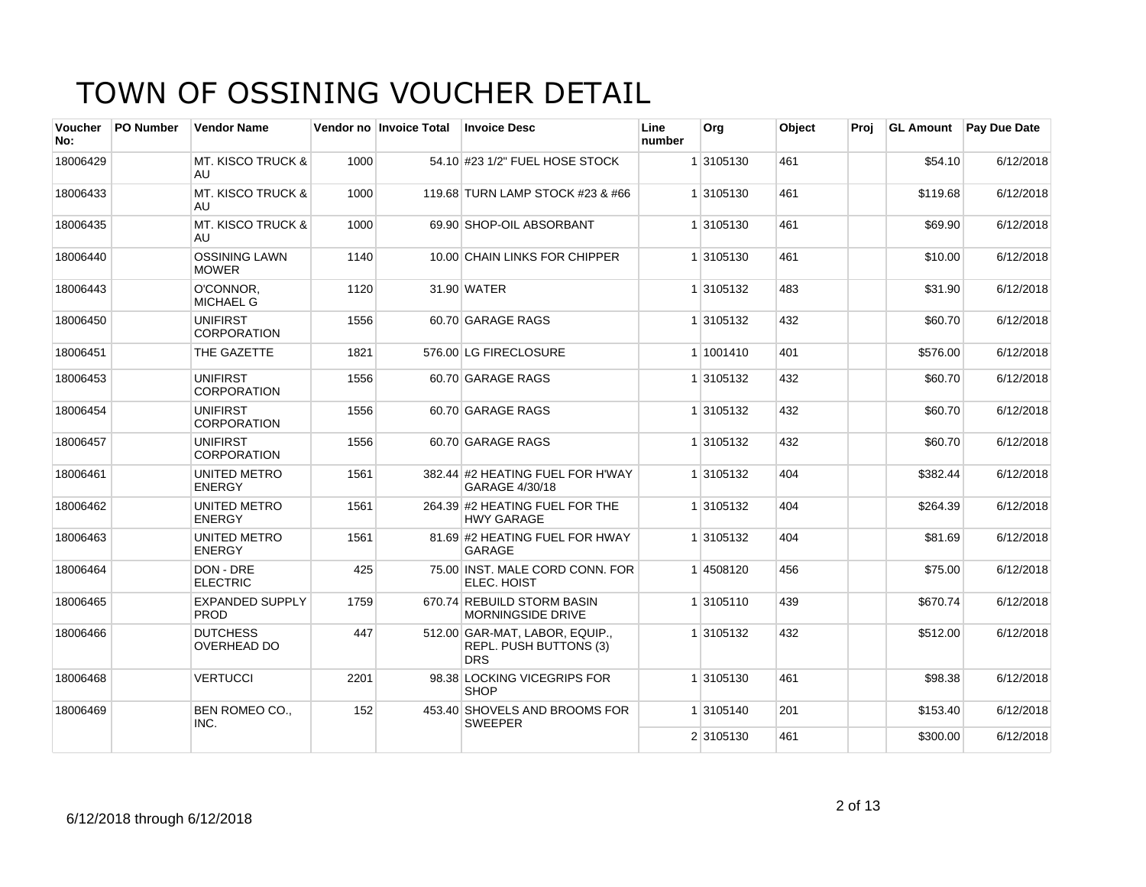| <b>Voucher</b><br>No: | <b>PO Number</b> | <b>Vendor Name</b>                    |      | Vendor no Invoice Total | <b>Invoice Desc</b>                                                           | Line<br>number | Org       | Object | Proj | <b>GL Amount</b> | Pay Due Date |
|-----------------------|------------------|---------------------------------------|------|-------------------------|-------------------------------------------------------------------------------|----------------|-----------|--------|------|------------------|--------------|
| 18006429              |                  | <b>MT. KISCO TRUCK &amp;</b><br>AU    | 1000 |                         | 54.10 #23 1/2" FUEL HOSE STOCK                                                |                | 1 3105130 | 461    |      | \$54.10          | 6/12/2018    |
| 18006433              |                  | <b>MT. KISCO TRUCK &amp;</b><br>AU    | 1000 |                         | 119.68 TURN LAMP STOCK #23 & #66                                              |                | 1 3105130 | 461    |      | \$119.68         | 6/12/2018    |
| 18006435              |                  | <b>MT. KISCO TRUCK &amp;</b><br>AU.   | 1000 |                         | 69.90 SHOP-OIL ABSORBANT                                                      |                | 1 3105130 | 461    |      | \$69.90          | 6/12/2018    |
| 18006440              |                  | <b>OSSINING LAWN</b><br><b>MOWER</b>  | 1140 |                         | 10.00 CHAIN LINKS FOR CHIPPER                                                 |                | 1 3105130 | 461    |      | \$10.00          | 6/12/2018    |
| 18006443              |                  | O'CONNOR,<br><b>MICHAEL G</b>         | 1120 |                         | 31.90 WATER                                                                   |                | 1 3105132 | 483    |      | \$31.90          | 6/12/2018    |
| 18006450              |                  | <b>UNIFIRST</b><br><b>CORPORATION</b> | 1556 |                         | 60.70 GARAGE RAGS                                                             |                | 1 3105132 | 432    |      | \$60.70          | 6/12/2018    |
| 18006451              |                  | THE GAZETTE                           | 1821 |                         | 576.00 LG FIRECLOSURE                                                         |                | 1 1001410 | 401    |      | \$576.00         | 6/12/2018    |
| 18006453              |                  | <b>UNIFIRST</b><br><b>CORPORATION</b> | 1556 |                         | 60.70 GARAGE RAGS                                                             |                | 1 3105132 | 432    |      | \$60.70          | 6/12/2018    |
| 18006454              |                  | <b>UNIFIRST</b><br><b>CORPORATION</b> | 1556 |                         | 60.70 GARAGE RAGS                                                             |                | 1 3105132 | 432    |      | \$60.70          | 6/12/2018    |
| 18006457              |                  | <b>UNIFIRST</b><br><b>CORPORATION</b> | 1556 |                         | 60.70 GARAGE RAGS                                                             |                | 1 3105132 | 432    |      | \$60.70          | 6/12/2018    |
| 18006461              |                  | UNITED METRO<br><b>ENERGY</b>         | 1561 |                         | 382.44 #2 HEATING FUEL FOR H'WAY<br>GARAGE 4/30/18                            |                | 1 3105132 | 404    |      | \$382.44         | 6/12/2018    |
| 18006462              |                  | UNITED METRO<br><b>ENERGY</b>         | 1561 |                         | 264.39 #2 HEATING FUEL FOR THE<br><b>HWY GARAGE</b>                           |                | 1 3105132 | 404    |      | \$264.39         | 6/12/2018    |
| 18006463              |                  | UNITED METRO<br><b>ENERGY</b>         | 1561 |                         | 81.69 #2 HEATING FUEL FOR HWAY<br>GARAGE                                      |                | 1 3105132 | 404    |      | \$81.69          | 6/12/2018    |
| 18006464              |                  | DON - DRE<br><b>ELECTRIC</b>          | 425  |                         | 75.00 INST, MALE CORD CONN, FOR<br>ELEC. HOIST                                |                | 14508120  | 456    |      | \$75.00          | 6/12/2018    |
| 18006465              |                  | <b>EXPANDED SUPPLY</b><br><b>PROD</b> | 1759 |                         | 670.74 REBUILD STORM BASIN<br><b>MORNINGSIDE DRIVE</b>                        |                | 1 3105110 | 439    |      | \$670.74         | 6/12/2018    |
| 18006466              |                  | <b>DUTCHESS</b><br><b>OVERHEAD DO</b> | 447  |                         | 512.00 GAR-MAT, LABOR, EQUIP.,<br><b>REPL. PUSH BUTTONS (3)</b><br><b>DRS</b> |                | 1 3105132 | 432    |      | \$512.00         | 6/12/2018    |
| 18006468              |                  | <b>VERTUCCI</b>                       | 2201 |                         | 98.38 LOCKING VICEGRIPS FOR<br><b>SHOP</b>                                    |                | 1 3105130 | 461    |      | \$98.38          | 6/12/2018    |
| 18006469              |                  | <b>BEN ROMEO CO.,</b><br>INC.         | 152  |                         | 453.40 SHOVELS AND BROOMS FOR<br><b>SWEEPER</b>                               |                | 1 3105140 | 201    |      | \$153.40         | 6/12/2018    |
|                       |                  |                                       |      |                         |                                                                               |                | 2 3105130 | 461    |      | \$300.00         | 6/12/2018    |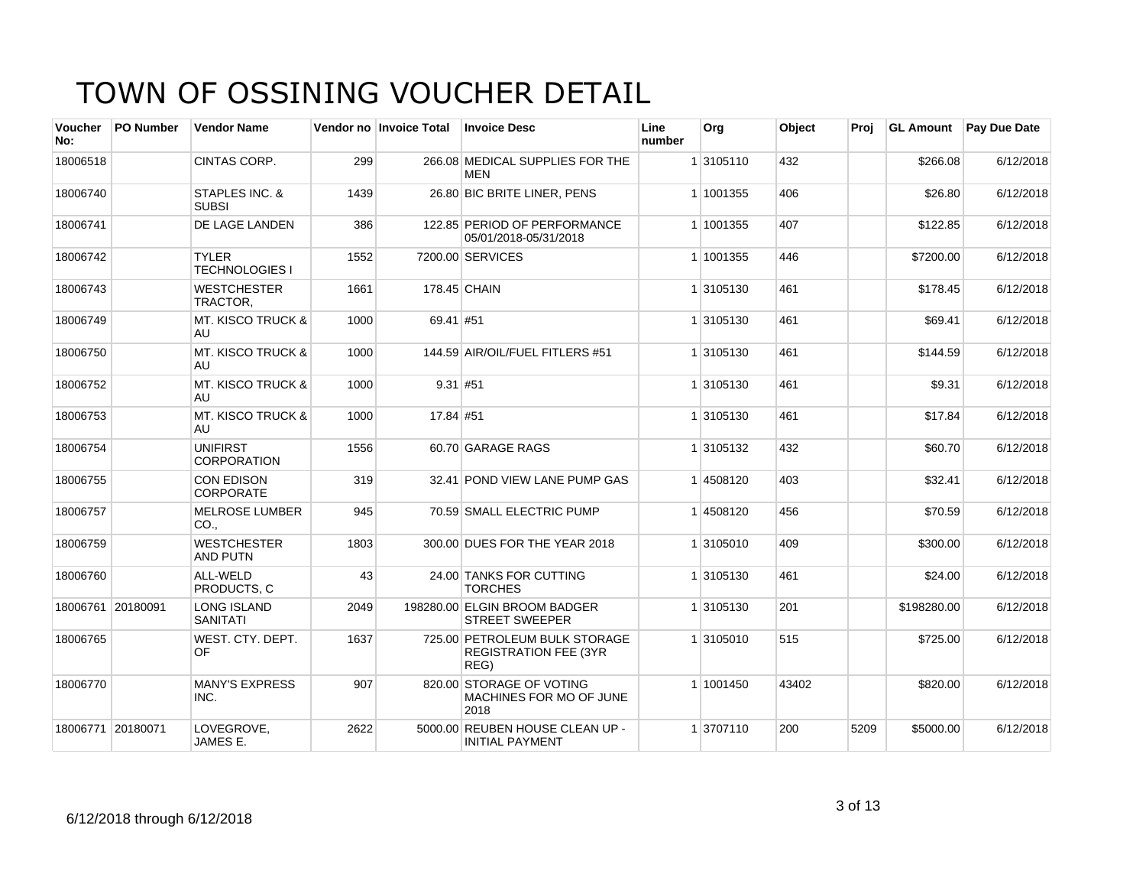| Voucher<br>No: | <b>PO Number</b>  | <b>Vendor Name</b>                    |      | Vendor no Invoice Total | <b>Invoice Desc</b>                                                   | Line<br>number | Org       | Object | Proj | <b>GL Amount</b> | Pay Due Date |
|----------------|-------------------|---------------------------------------|------|-------------------------|-----------------------------------------------------------------------|----------------|-----------|--------|------|------------------|--------------|
| 18006518       |                   | CINTAS CORP.                          | 299  |                         | 266.08 MEDICAL SUPPLIES FOR THE<br>MEN                                |                | 1 3105110 | 432    |      | \$266.08         | 6/12/2018    |
| 18006740       |                   | STAPLES INC. &<br><b>SUBSI</b>        | 1439 |                         | 26.80 BIC BRITE LINER, PENS                                           |                | 1 1001355 | 406    |      | \$26.80          | 6/12/2018    |
| 18006741       |                   | <b>DE LAGE LANDEN</b>                 | 386  |                         | 122.85 PERIOD OF PERFORMANCE<br>05/01/2018-05/31/2018                 |                | 1 1001355 | 407    |      | \$122.85         | 6/12/2018    |
| 18006742       |                   | <b>TYLER</b><br><b>TECHNOLOGIES I</b> | 1552 |                         | 7200.00 SERVICES                                                      |                | 1 1001355 | 446    |      | \$7200.00        | 6/12/2018    |
| 18006743       |                   | <b>WESTCHESTER</b><br>TRACTOR,        | 1661 |                         | 178.45 CHAIN                                                          |                | 1 3105130 | 461    |      | \$178.45         | 6/12/2018    |
| 18006749       |                   | <b>MT. KISCO TRUCK &amp;</b><br>AU    | 1000 | 69.41 #51               |                                                                       |                | 1 3105130 | 461    |      | \$69.41          | 6/12/2018    |
| 18006750       |                   | <b>MT. KISCO TRUCK &amp;</b><br>AU    | 1000 |                         | 144.59 AIR/OIL/FUEL FITLERS #51                                       |                | 1 3105130 | 461    |      | \$144.59         | 6/12/2018    |
| 18006752       |                   | <b>MT. KISCO TRUCK &amp;</b><br>AU    | 1000 | $9.31$ #51              |                                                                       |                | 1 3105130 | 461    |      | \$9.31           | 6/12/2018    |
| 18006753       |                   | <b>MT. KISCO TRUCK &amp;</b><br>AU    | 1000 | 17.84 #51               |                                                                       |                | 1 3105130 | 461    |      | \$17.84          | 6/12/2018    |
| 18006754       |                   | <b>UNIFIRST</b><br><b>CORPORATION</b> | 1556 |                         | 60.70 GARAGE RAGS                                                     |                | 1 3105132 | 432    |      | \$60.70          | 6/12/2018    |
| 18006755       |                   | <b>CON EDISON</b><br><b>CORPORATE</b> | 319  |                         | 32.41 POND VIEW LANE PUMP GAS                                         |                | 1 4508120 | 403    |      | \$32.41          | 6/12/2018    |
| 18006757       |                   | <b>MELROSE LUMBER</b><br>CO.,         | 945  |                         | 70.59 SMALL ELECTRIC PUMP                                             |                | 1 4508120 | 456    |      | \$70.59          | 6/12/2018    |
| 18006759       |                   | <b>WESTCHESTER</b><br><b>AND PUTN</b> | 1803 |                         | 300.00 DUES FOR THE YEAR 2018                                         |                | 1 3105010 | 409    |      | \$300.00         | 6/12/2018    |
| 18006760       |                   | ALL-WELD<br>PRODUCTS. C               | 43   |                         | 24.00 TANKS FOR CUTTING<br><b>TORCHES</b>                             |                | 1 3105130 | 461    |      | \$24.00          | 6/12/2018    |
|                | 18006761 20180091 | <b>LONG ISLAND</b><br><b>SANITATI</b> | 2049 |                         | 198280.00 ELGIN BROOM BADGER<br><b>STREET SWEEPER</b>                 |                | 1 3105130 | 201    |      | \$198280.00      | 6/12/2018    |
| 18006765       |                   | WEST. CTY. DEPT.<br>OF                | 1637 |                         | 725.00 PETROLEUM BULK STORAGE<br><b>REGISTRATION FEE (3YR</b><br>REG) |                | 1 3105010 | 515    |      | \$725.00         | 6/12/2018    |
| 18006770       |                   | <b>MANY'S EXPRESS</b><br>INC.         | 907  |                         | 820.00 STORAGE OF VOTING<br>MACHINES FOR MO OF JUNE<br>2018           |                | 1 1001450 | 43402  |      | \$820.00         | 6/12/2018    |
|                | 18006771 20180071 | LOVEGROVE.<br>JAMES E.                | 2622 |                         | 5000.00 REUBEN HOUSE CLEAN UP -<br><b>INITIAL PAYMENT</b>             |                | 1 3707110 | 200    | 5209 | \$5000.00        | 6/12/2018    |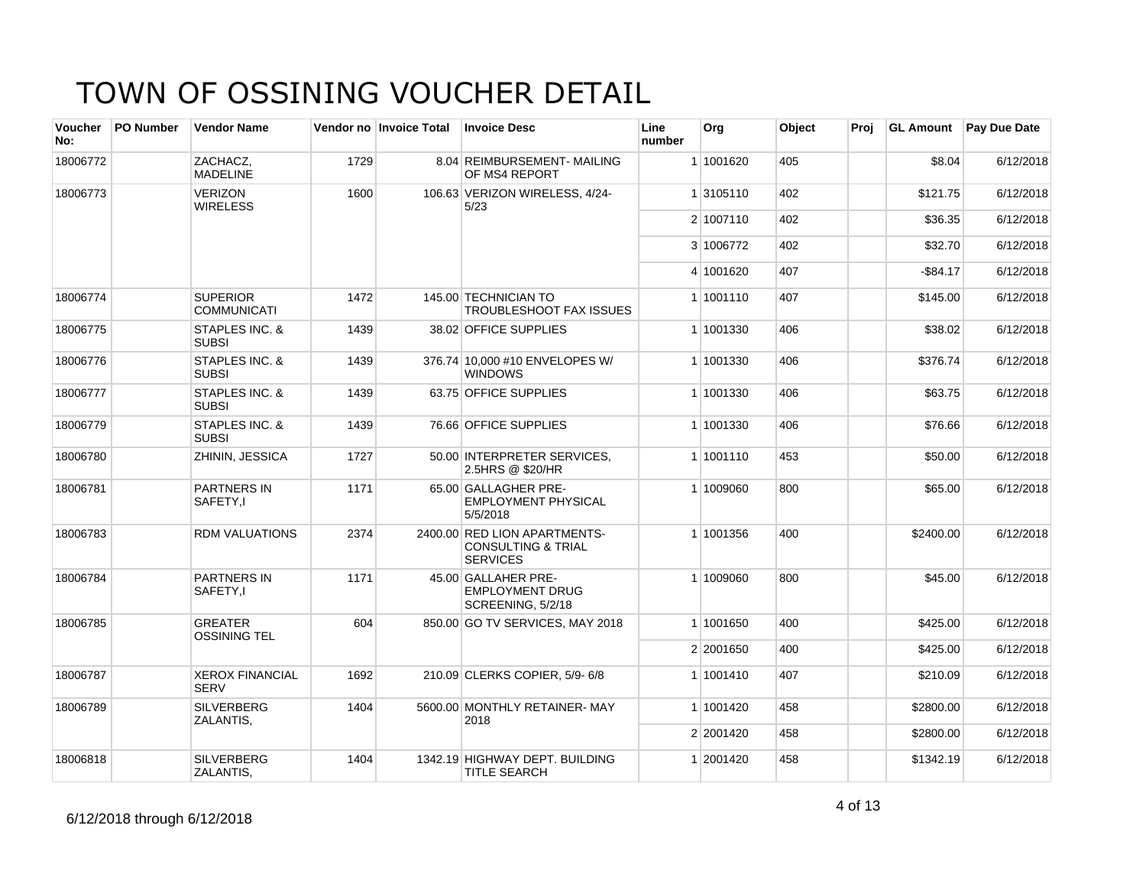| <b>Voucher</b><br>No: | <b>PO Number</b> | <b>Vendor Name</b>                        |      | Vendor no Invoice Total | <b>Invoice Desc</b>                                                              | Line<br>number | Org       | <b>Object</b> | Proi | <b>GL Amount</b> | <b>Pay Due Date</b> |
|-----------------------|------------------|-------------------------------------------|------|-------------------------|----------------------------------------------------------------------------------|----------------|-----------|---------------|------|------------------|---------------------|
| 18006772              |                  | ZACHACZ,<br><b>MADELINE</b>               | 1729 |                         | 8.04 REIMBURSEMENT- MAILING<br>OF MS4 REPORT                                     |                | 1 1001620 | 405           |      | \$8.04           | 6/12/2018           |
| 18006773              |                  | <b>VERIZON</b><br><b>WIRELESS</b>         | 1600 |                         | 106.63 VERIZON WIRELESS, 4/24-<br>5/23                                           |                | 1 3105110 | 402           |      | \$121.75         | 6/12/2018           |
|                       |                  |                                           |      |                         |                                                                                  |                | 2 1007110 | 402           |      | \$36.35          | 6/12/2018           |
|                       |                  |                                           |      |                         |                                                                                  |                | 3 1006772 | 402           |      | \$32.70          | 6/12/2018           |
|                       |                  |                                           |      |                         |                                                                                  |                | 4 1001620 | 407           |      | $-$ \$84.17      | 6/12/2018           |
| 18006774              |                  | <b>SUPERIOR</b><br><b>COMMUNICATI</b>     | 1472 |                         | 145.00 TECHNICIAN TO<br><b>TROUBLESHOOT FAX ISSUES</b>                           |                | 1 1001110 | 407           |      | \$145.00         | 6/12/2018           |
| 18006775              |                  | STAPLES INC. &<br><b>SUBSI</b>            | 1439 |                         | 38.02 OFFICE SUPPLIES                                                            |                | 1 1001330 | 406           |      | \$38.02          | 6/12/2018           |
| 18006776              |                  | <b>STAPLES INC. &amp;</b><br><b>SUBSI</b> | 1439 |                         | 376.74 10.000 #10 ENVELOPES W/<br><b>WINDOWS</b>                                 |                | 1 1001330 | 406           |      | \$376.74         | 6/12/2018           |
| 18006777              |                  | <b>STAPLES INC. &amp;</b><br><b>SUBSI</b> | 1439 |                         | 63.75 OFFICE SUPPLIES                                                            |                | 1 1001330 | 406           |      | \$63.75          | 6/12/2018           |
| 18006779              |                  | STAPLES INC. &<br><b>SUBSI</b>            | 1439 |                         | 76.66 OFFICE SUPPLIES                                                            |                | 1 1001330 | 406           |      | \$76.66          | 6/12/2018           |
| 18006780              |                  | ZHININ, JESSICA                           | 1727 |                         | 50.00 INTERPRETER SERVICES.<br>2.5HRS @ \$20/HR                                  |                | 1 1001110 | 453           |      | \$50.00          | 6/12/2018           |
| 18006781              |                  | <b>PARTNERS IN</b><br>SAFETY,I            | 1171 |                         | 65.00 GALLAGHER PRE-<br><b>EMPLOYMENT PHYSICAL</b><br>5/5/2018                   |                | 1 1009060 | 800           |      | \$65.00          | 6/12/2018           |
| 18006783              |                  | <b>RDM VALUATIONS</b>                     | 2374 |                         | 2400.00 RED LION APARTMENTS-<br><b>CONSULTING &amp; TRIAL</b><br><b>SERVICES</b> |                | 1 1001356 | 400           |      | \$2400.00        | 6/12/2018           |
| 18006784              |                  | <b>PARTNERS IN</b><br>SAFETY,I            | 1171 |                         | 45.00 GALLAHER PRE-<br><b>EMPLOYMENT DRUG</b><br>SCREENING, 5/2/18               |                | 1 1009060 | 800           |      | \$45.00          | 6/12/2018           |
| 18006785              |                  | <b>GREATER</b><br><b>OSSINING TEL</b>     | 604  |                         | 850.00 GO TV SERVICES, MAY 2018                                                  |                | 1 1001650 | 400           |      | \$425.00         | 6/12/2018           |
|                       |                  |                                           |      |                         |                                                                                  |                | 2 2001650 | 400           |      | \$425.00         | 6/12/2018           |
| 18006787              |                  | <b>XEROX FINANCIAL</b><br><b>SERV</b>     | 1692 |                         | 210.09 CLERKS COPIER, 5/9-6/8                                                    |                | 1 1001410 | 407           |      | \$210.09         | 6/12/2018           |
| 18006789              |                  | <b>SILVERBERG</b><br>ZALANTIS,            | 1404 |                         | 5600.00 MONTHLY RETAINER-MAY<br>2018                                             |                | 1 1001420 | 458           |      | \$2800.00        | 6/12/2018           |
|                       |                  |                                           |      |                         |                                                                                  |                | 2 2001420 | 458           |      | \$2800.00        | 6/12/2018           |
| 18006818              |                  | <b>SILVERBERG</b><br>ZALANTIS,            | 1404 |                         | 1342.19 HIGHWAY DEPT. BUILDING<br>TITLE SEARCH                                   |                | 1 2001420 | 458           |      | \$1342.19        | 6/12/2018           |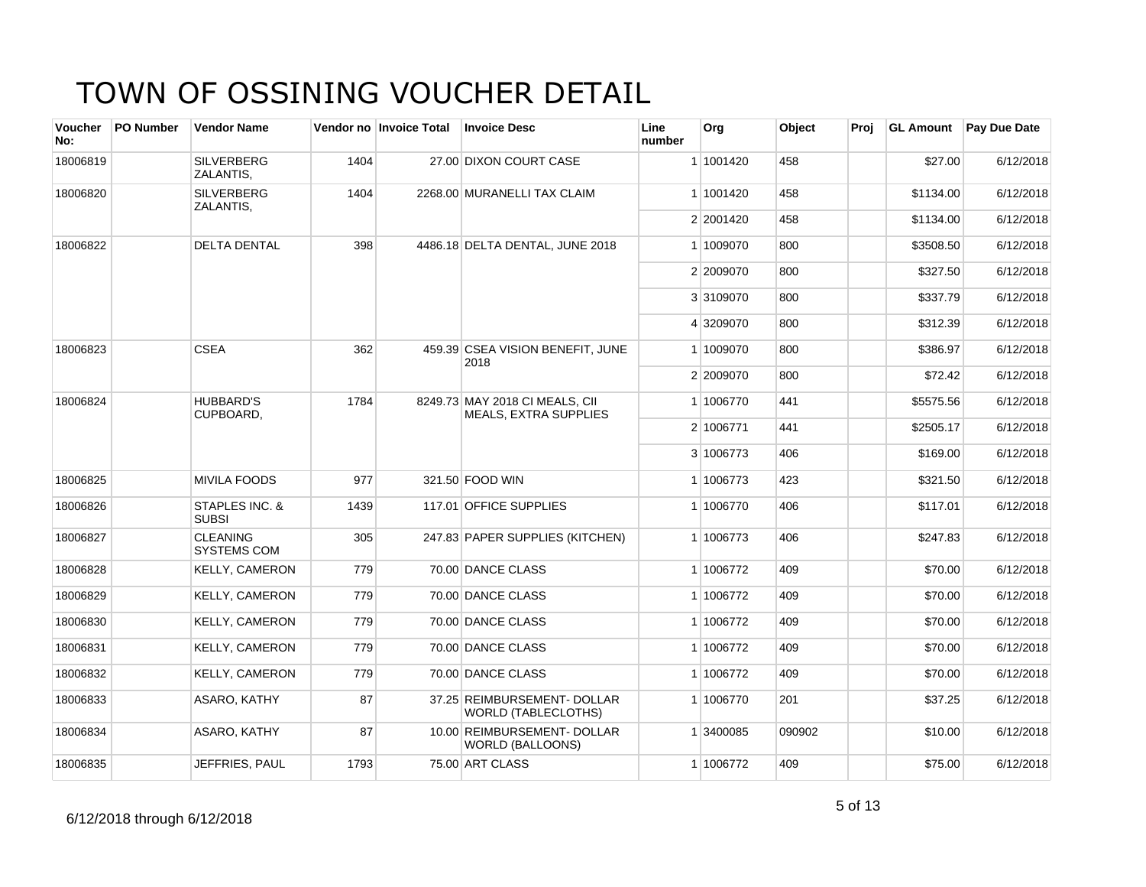| <b>Voucher</b><br>No: | <b>PO Number</b> | <b>Vendor Name</b>                    |      | Vendor no Invoice Total | <b>Invoice Desc</b>                                            | Line<br>number | Org       | Object | Proi | <b>GL Amount</b> | <b>Pay Due Date</b> |
|-----------------------|------------------|---------------------------------------|------|-------------------------|----------------------------------------------------------------|----------------|-----------|--------|------|------------------|---------------------|
| 18006819              |                  | <b>SILVERBERG</b><br>ZALANTIS,        | 1404 |                         | 27.00 DIXON COURT CASE                                         |                | 1 1001420 | 458    |      | \$27.00          | 6/12/2018           |
| 18006820              |                  | <b>SILVERBERG</b><br>ZALANTIS,        | 1404 |                         | 2268.00 MURANELLI TAX CLAIM                                    |                | 1 1001420 | 458    |      | \$1134.00        | 6/12/2018           |
|                       |                  |                                       |      |                         |                                                                |                | 2 2001420 | 458    |      | \$1134.00        | 6/12/2018           |
| 18006822              |                  | <b>DELTA DENTAL</b>                   | 398  |                         | 4486.18 DELTA DENTAL, JUNE 2018                                |                | 1 1009070 | 800    |      | \$3508.50        | 6/12/2018           |
|                       |                  |                                       |      |                         |                                                                |                | 2 2009070 | 800    |      | \$327.50         | 6/12/2018           |
|                       |                  |                                       |      |                         |                                                                |                | 3 3109070 | 800    |      | \$337.79         | 6/12/2018           |
|                       |                  |                                       |      |                         |                                                                |                | 4 3209070 | 800    |      | \$312.39         | 6/12/2018           |
| 18006823              |                  | <b>CSEA</b>                           | 362  |                         | 459.39 CSEA VISION BENEFIT, JUNE<br>2018                       |                | 1 1009070 | 800    |      | \$386.97         | 6/12/2018           |
|                       |                  |                                       |      |                         |                                                                |                | 2 2009070 | 800    |      | \$72.42          | 6/12/2018           |
| 18006824              |                  | <b>HUBBARD'S</b><br>CUPBOARD.         | 1784 |                         | 8249.73 MAY 2018 CI MEALS, CII<br><b>MEALS, EXTRA SUPPLIES</b> |                | 1 1006770 | 441    |      | \$5575.56        | 6/12/2018           |
|                       |                  |                                       |      |                         |                                                                |                | 2 1006771 | 441    |      | \$2505.17        | 6/12/2018           |
|                       |                  |                                       |      |                         |                                                                |                | 3 1006773 | 406    |      | \$169.00         | 6/12/2018           |
| 18006825              |                  | <b>MIVILA FOODS</b>                   | 977  |                         | 321.50 FOOD WIN                                                |                | 1 1006773 | 423    |      | \$321.50         | 6/12/2018           |
| 18006826              |                  | STAPLES INC. &<br><b>SUBSI</b>        | 1439 |                         | 117.01 OFFICE SUPPLIES                                         |                | 1 1006770 | 406    |      | \$117.01         | 6/12/2018           |
| 18006827              |                  | <b>CLEANING</b><br><b>SYSTEMS COM</b> | 305  |                         | 247.83 PAPER SUPPLIES (KITCHEN)                                |                | 1 1006773 | 406    |      | \$247.83         | 6/12/2018           |
| 18006828              |                  | <b>KELLY, CAMERON</b>                 | 779  |                         | 70.00 DANCE CLASS                                              |                | 1 1006772 | 409    |      | \$70.00          | 6/12/2018           |
| 18006829              |                  | <b>KELLY, CAMERON</b>                 | 779  |                         | 70.00 DANCE CLASS                                              |                | 1 1006772 | 409    |      | \$70.00          | 6/12/2018           |
| 18006830              |                  | <b>KELLY, CAMERON</b>                 | 779  |                         | 70.00 DANCE CLASS                                              |                | 1 1006772 | 409    |      | \$70.00          | 6/12/2018           |
| 18006831              |                  | <b>KELLY, CAMERON</b>                 | 779  |                         | 70.00 DANCE CLASS                                              |                | 1 1006772 | 409    |      | \$70.00          | 6/12/2018           |
| 18006832              |                  | <b>KELLY, CAMERON</b>                 | 779  |                         | 70.00 DANCE CLASS                                              |                | 1 1006772 | 409    |      | \$70.00          | 6/12/2018           |
| 18006833              |                  | ASARO, KATHY                          | 87   |                         | 37.25 REIMBURSEMENT- DOLLAR<br><b>WORLD (TABLECLOTHS)</b>      |                | 1 1006770 | 201    |      | \$37.25          | 6/12/2018           |
| 18006834              |                  | ASARO, KATHY                          | 87   |                         | 10.00 REIMBURSEMENT- DOLLAR<br><b>WORLD (BALLOONS)</b>         |                | 1 3400085 | 090902 |      | \$10.00          | 6/12/2018           |
| 18006835              |                  | JEFFRIES, PAUL                        | 1793 |                         | 75.00 ART CLASS                                                |                | 1 1006772 | 409    |      | \$75.00          | 6/12/2018           |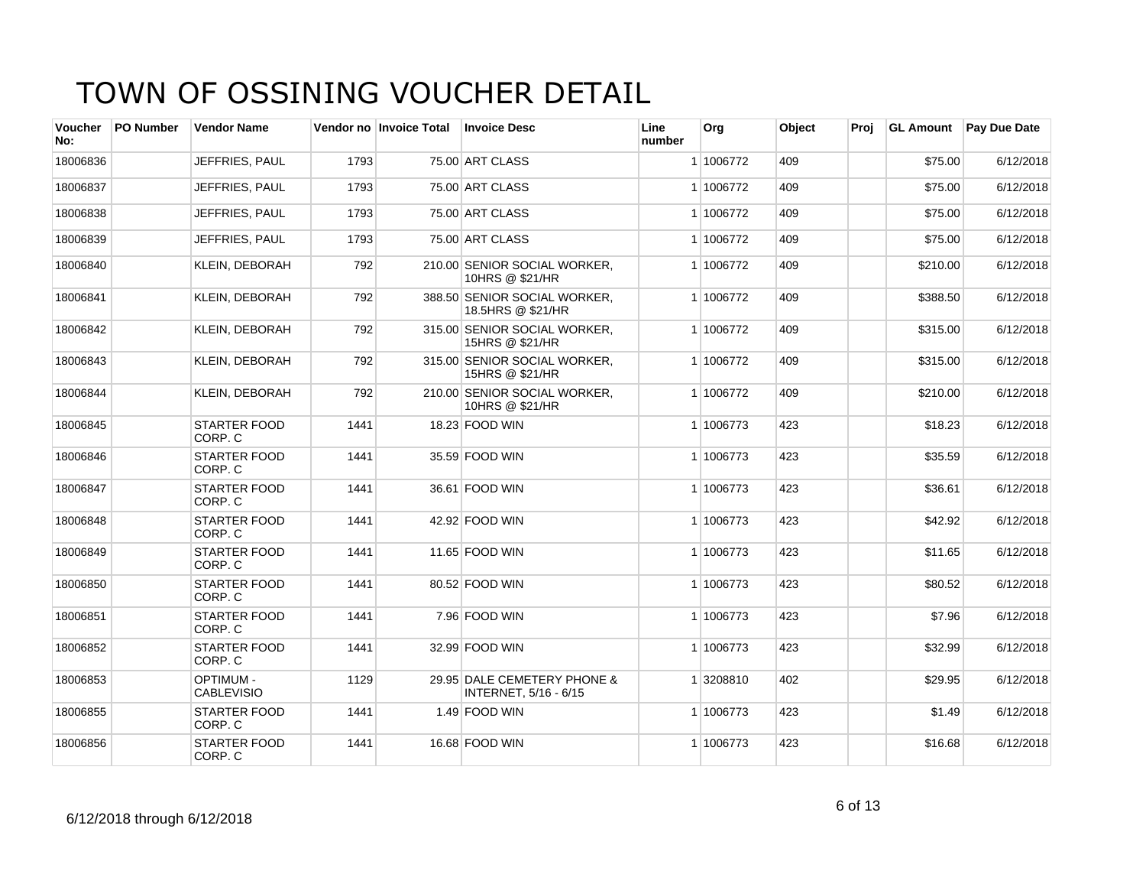| Voucher<br>No: | <b>PO Number</b> | <b>Vendor Name</b>                    |      | Vendor no Invoice Total | <b>Invoice Desc</b>                                  | Line<br>number | Org       | Object | Proj | <b>GL Amount</b> | <b>Pay Due Date</b> |
|----------------|------------------|---------------------------------------|------|-------------------------|------------------------------------------------------|----------------|-----------|--------|------|------------------|---------------------|
| 18006836       |                  | JEFFRIES, PAUL                        | 1793 |                         | 75.00 ART CLASS                                      |                | 1 1006772 | 409    |      | \$75.00          | 6/12/2018           |
| 18006837       |                  | JEFFRIES, PAUL                        | 1793 |                         | 75.00 ART CLASS                                      |                | 1 1006772 | 409    |      | \$75.00          | 6/12/2018           |
| 18006838       |                  | JEFFRIES, PAUL                        | 1793 |                         | 75.00 ART CLASS                                      |                | 1 1006772 | 409    |      | \$75.00          | 6/12/2018           |
| 18006839       |                  | JEFFRIES, PAUL                        | 1793 |                         | 75.00 ART CLASS                                      |                | 1 1006772 | 409    |      | \$75.00          | 6/12/2018           |
| 18006840       |                  | <b>KLEIN, DEBORAH</b>                 | 792  |                         | 210.00 SENIOR SOCIAL WORKER,<br>10HRS @ \$21/HR      |                | 1 1006772 | 409    |      | \$210.00         | 6/12/2018           |
| 18006841       |                  | <b>KLEIN, DEBORAH</b>                 | 792  |                         | 388.50 SENIOR SOCIAL WORKER,<br>18.5HRS @ \$21/HR    |                | 1 1006772 | 409    |      | \$388.50         | 6/12/2018           |
| 18006842       |                  | <b>KLEIN, DEBORAH</b>                 | 792  |                         | 315.00 SENIOR SOCIAL WORKER,<br>15HRS @ \$21/HR      |                | 1 1006772 | 409    |      | \$315.00         | 6/12/2018           |
| 18006843       |                  | KLEIN, DEBORAH                        | 792  |                         | 315.00 SENIOR SOCIAL WORKER,<br>15HRS @ \$21/HR      |                | 1 1006772 | 409    |      | \$315.00         | 6/12/2018           |
| 18006844       |                  | KLEIN, DEBORAH                        | 792  |                         | 210.00 SENIOR SOCIAL WORKER,<br>10HRS @ \$21/HR      |                | 1 1006772 | 409    |      | \$210.00         | 6/12/2018           |
| 18006845       |                  | <b>STARTER FOOD</b><br>CORP. C        | 1441 |                         | 18.23 FOOD WIN                                       |                | 1 1006773 | 423    |      | \$18.23          | 6/12/2018           |
| 18006846       |                  | <b>STARTER FOOD</b><br>CORP. C        | 1441 |                         | 35.59 FOOD WIN                                       |                | 1 1006773 | 423    |      | \$35.59          | 6/12/2018           |
| 18006847       |                  | <b>STARTER FOOD</b><br>CORP. C        | 1441 |                         | 36.61 FOOD WIN                                       |                | 1 1006773 | 423    |      | \$36.61          | 6/12/2018           |
| 18006848       |                  | <b>STARTER FOOD</b><br>CORP. C        | 1441 |                         | 42.92 FOOD WIN                                       |                | 1 1006773 | 423    |      | \$42.92          | 6/12/2018           |
| 18006849       |                  | <b>STARTER FOOD</b><br>CORP. C        | 1441 |                         | 11.65 FOOD WIN                                       |                | 1 1006773 | 423    |      | \$11.65          | 6/12/2018           |
| 18006850       |                  | <b>STARTER FOOD</b><br>CORP. C        | 1441 |                         | 80.52 FOOD WIN                                       |                | 1 1006773 | 423    |      | \$80.52          | 6/12/2018           |
| 18006851       |                  | <b>STARTER FOOD</b><br>CORP. C        | 1441 |                         | 7.96 FOOD WIN                                        |                | 1 1006773 | 423    |      | \$7.96           | 6/12/2018           |
| 18006852       |                  | <b>STARTER FOOD</b><br>CORP. C        | 1441 |                         | 32.99 FOOD WIN                                       |                | 1 1006773 | 423    |      | \$32.99          | 6/12/2018           |
| 18006853       |                  | <b>OPTIMUM -</b><br><b>CABLEVISIO</b> | 1129 |                         | 29.95 DALE CEMETERY PHONE &<br>INTERNET, 5/16 - 6/15 |                | 1 3208810 | 402    |      | \$29.95          | 6/12/2018           |
| 18006855       |                  | <b>STARTER FOOD</b><br>CORP. C        | 1441 |                         | 1.49 FOOD WIN                                        |                | 1 1006773 | 423    |      | \$1.49           | 6/12/2018           |
| 18006856       |                  | <b>STARTER FOOD</b><br>CORP. C        | 1441 |                         | 16.68 FOOD WIN                                       |                | 1 1006773 | 423    |      | \$16.68          | 6/12/2018           |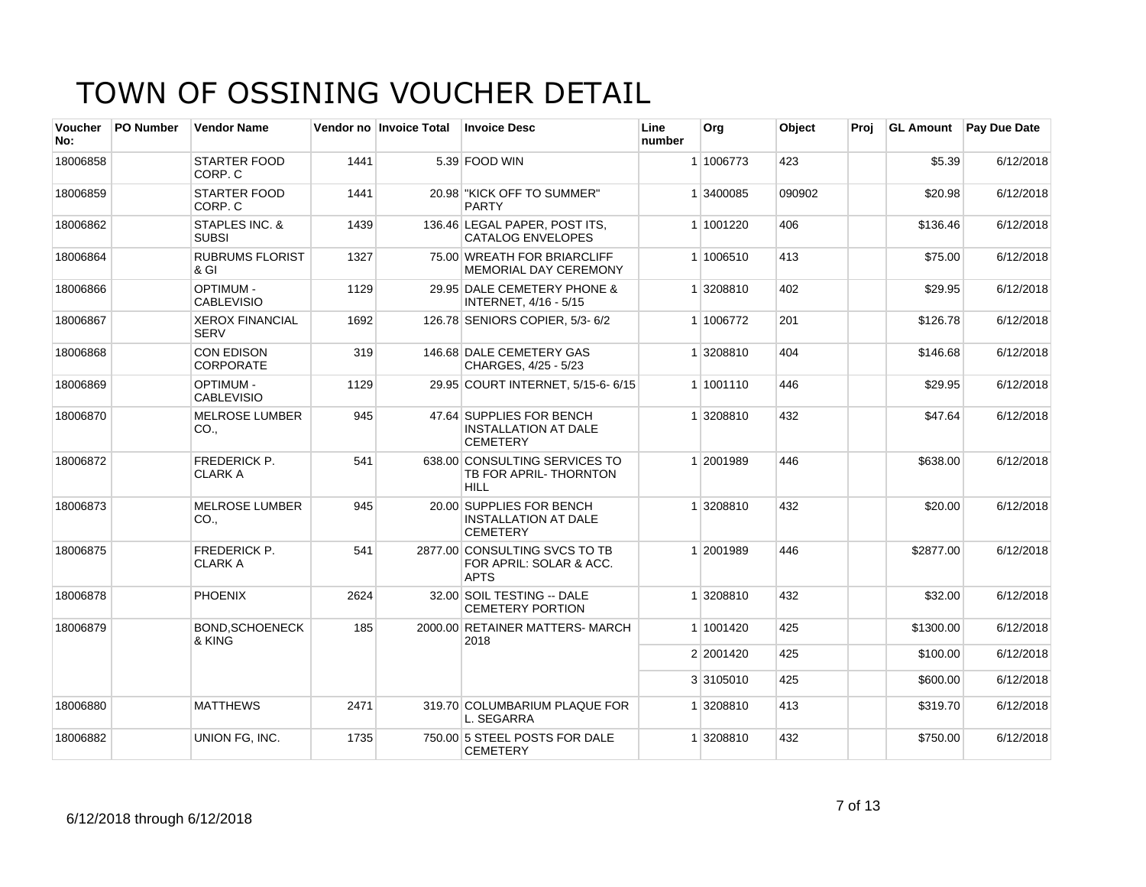| Voucher<br>No: | <b>PO Number</b> | <b>Vendor Name</b>                    |      | Vendor no Invoice Total | <b>Invoice Desc</b>                                                        | Line<br>number | Org       | Object | Proi | <b>GL Amount</b> | <b>Pay Due Date</b> |
|----------------|------------------|---------------------------------------|------|-------------------------|----------------------------------------------------------------------------|----------------|-----------|--------|------|------------------|---------------------|
| 18006858       |                  | <b>STARTER FOOD</b><br>CORP. C        | 1441 |                         | 5.39 FOOD WIN                                                              |                | 1 1006773 | 423    |      | \$5.39           | 6/12/2018           |
| 18006859       |                  | <b>STARTER FOOD</b><br>CORP. C        | 1441 |                         | 20.98 "KICK OFF TO SUMMER"<br><b>PARTY</b>                                 |                | 1 3400085 | 090902 |      | \$20.98          | 6/12/2018           |
| 18006862       |                  | STAPLES INC. &<br><b>SUBSI</b>        | 1439 |                         | 136.46 LEGAL PAPER, POST ITS,<br><b>CATALOG ENVELOPES</b>                  |                | 1 1001220 | 406    |      | \$136.46         | 6/12/2018           |
| 18006864       |                  | <b>RUBRUMS FLORIST</b><br>& GI        | 1327 |                         | 75.00 WREATH FOR BRIARCLIFF<br><b>MEMORIAL DAY CEREMONY</b>                |                | 1 1006510 | 413    |      | \$75.00          | 6/12/2018           |
| 18006866       |                  | <b>OPTIMUM -</b><br><b>CABLEVISIO</b> | 1129 |                         | 29.95 DALE CEMETERY PHONE &<br><b>INTERNET, 4/16 - 5/15</b>                |                | 1 3208810 | 402    |      | \$29.95          | 6/12/2018           |
| 18006867       |                  | <b>XEROX FINANCIAL</b><br><b>SERV</b> | 1692 |                         | 126.78 SENIORS COPIER, 5/3-6/2                                             |                | 1 1006772 | 201    |      | \$126.78         | 6/12/2018           |
| 18006868       |                  | CON EDISON<br><b>CORPORATE</b>        | 319  |                         | 146.68 DALE CEMETERY GAS<br>CHARGES, 4/25 - 5/23                           |                | 1 3208810 | 404    |      | \$146.68         | 6/12/2018           |
| 18006869       |                  | <b>OPTIMUM -</b><br><b>CABLEVISIO</b> | 1129 |                         | 29.95 COURT INTERNET, 5/15-6-6/15                                          |                | 1 1001110 | 446    |      | \$29.95          | 6/12/2018           |
| 18006870       |                  | <b>MELROSE LUMBER</b><br>CO.,         | 945  |                         | 47.64 SUPPLIES FOR BENCH<br><b>INSTALLATION AT DALE</b><br><b>CEMETERY</b> |                | 1 3208810 | 432    |      | \$47.64          | 6/12/2018           |
| 18006872       |                  | <b>FREDERICK P.</b><br><b>CLARK A</b> | 541  |                         | 638.00 CONSULTING SERVICES TO<br>TB FOR APRIL-THORNTON<br><b>HILL</b>      |                | 1 2001989 | 446    |      | \$638.00         | 6/12/2018           |
| 18006873       |                  | <b>MELROSE LUMBER</b><br>CO.,         | 945  |                         | 20.00 SUPPLIES FOR BENCH<br><b>INSTALLATION AT DALE</b><br><b>CEMETERY</b> |                | 1 3208810 | 432    |      | \$20.00          | 6/12/2018           |
| 18006875       |                  | <b>FREDERICK P.</b><br><b>CLARK A</b> | 541  |                         | 2877.00 CONSULTING SVCS TO TB<br>FOR APRIL: SOLAR & ACC.<br><b>APTS</b>    |                | 1 2001989 | 446    |      | \$2877.00        | 6/12/2018           |
| 18006878       |                  | <b>PHOENIX</b>                        | 2624 |                         | 32.00 SOIL TESTING -- DALE<br><b>CEMETERY PORTION</b>                      |                | 1 3208810 | 432    |      | \$32.00          | 6/12/2018           |
| 18006879       |                  | <b>BOND, SCHOENECK</b><br>& KING      | 185  |                         | 2000.00 RETAINER MATTERS- MARCH<br>2018                                    |                | 1 1001420 | 425    |      | \$1300.00        | 6/12/2018           |
|                |                  |                                       |      |                         |                                                                            |                | 2 2001420 | 425    |      | \$100.00         | 6/12/2018           |
|                |                  |                                       |      |                         |                                                                            |                | 3 3105010 | 425    |      | \$600.00         | 6/12/2018           |
| 18006880       |                  | <b>MATTHEWS</b>                       | 2471 |                         | 319.70 COLUMBARIUM PLAQUE FOR<br>L. SEGARRA                                |                | 1 3208810 | 413    |      | \$319.70         | 6/12/2018           |
| 18006882       |                  | UNION FG, INC.                        | 1735 |                         | 750.00 5 STEEL POSTS FOR DALE<br><b>CEMETERY</b>                           |                | 1 3208810 | 432    |      | \$750.00         | 6/12/2018           |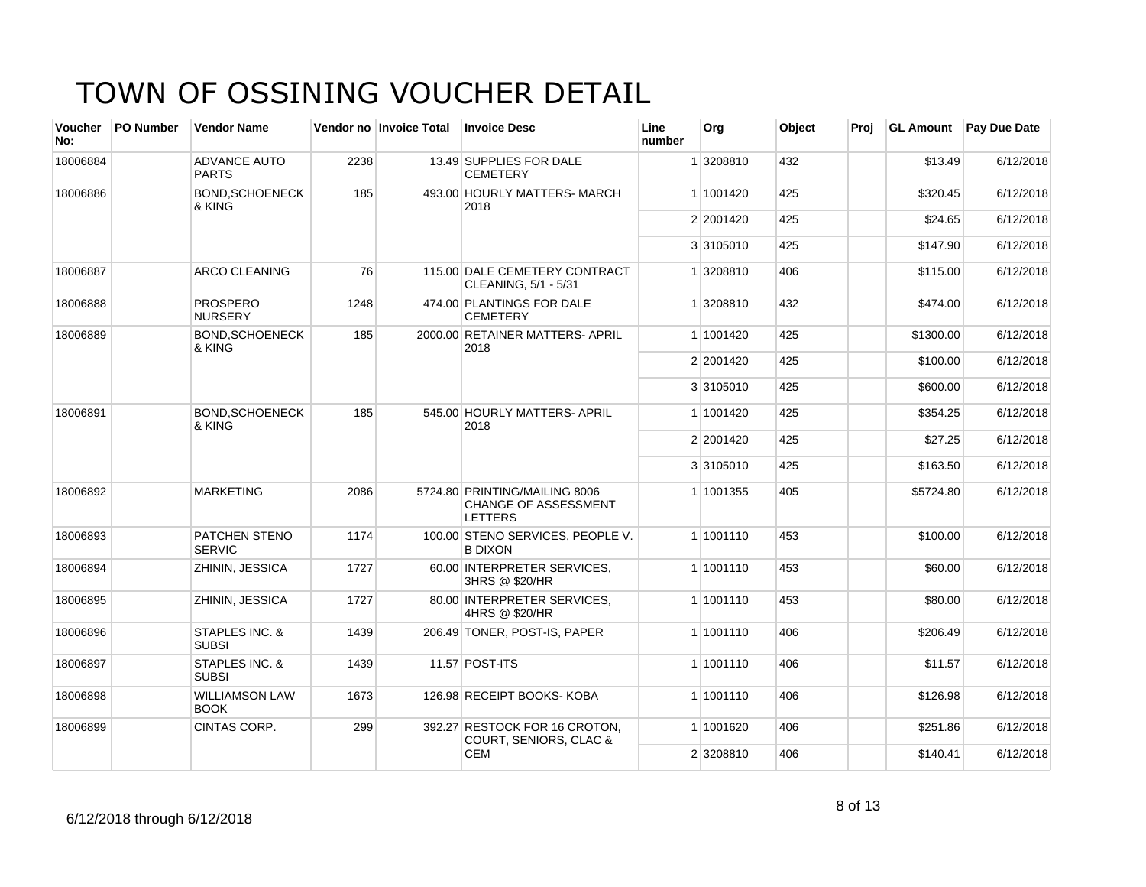| <b>Voucher</b><br>No: | PO Number | <b>Vendor Name</b>                    |      | Vendor no Invoice Total | <b>Invoice Desc</b>                                                            | Line<br>number | Org       | Object | Proj | <b>GL Amount</b> | Pay Due Date |
|-----------------------|-----------|---------------------------------------|------|-------------------------|--------------------------------------------------------------------------------|----------------|-----------|--------|------|------------------|--------------|
| 18006884              |           | <b>ADVANCE AUTO</b><br><b>PARTS</b>   | 2238 |                         | 13.49 SUPPLIES FOR DALE<br><b>CEMETERY</b>                                     |                | 1 3208810 | 432    |      | \$13.49          | 6/12/2018    |
| 18006886              |           | BOND.SCHOENECK<br>& KING              | 185  |                         | 493.00 HOURLY MATTERS- MARCH<br>2018                                           |                | 1 1001420 | 425    |      | \$320.45         | 6/12/2018    |
|                       |           |                                       |      |                         |                                                                                |                | 2 2001420 | 425    |      | \$24.65          | 6/12/2018    |
|                       |           |                                       |      |                         |                                                                                |                | 3 3105010 | 425    |      | \$147.90         | 6/12/2018    |
| 18006887              |           | ARCO CLEANING                         | 76   |                         | 115.00 DALE CEMETERY CONTRACT<br>CLEANING, 5/1 - 5/31                          |                | 1 3208810 | 406    |      | \$115.00         | 6/12/2018    |
| 18006888              |           | <b>PROSPERO</b><br><b>NURSERY</b>     | 1248 |                         | 474.00 PLANTINGS FOR DALE<br><b>CEMETERY</b>                                   |                | 1 3208810 | 432    |      | \$474.00         | 6/12/2018    |
| 18006889              |           | <b>BOND, SCHOENECK</b><br>& KING      | 185  |                         | 2000.00 RETAINER MATTERS- APRIL<br>2018                                        |                | 1 1001420 | 425    |      | \$1300.00        | 6/12/2018    |
|                       |           |                                       |      |                         |                                                                                |                | 2 2001420 | 425    |      | \$100.00         | 6/12/2018    |
|                       |           |                                       |      |                         |                                                                                |                | 3 3105010 | 425    |      | \$600.00         | 6/12/2018    |
| 18006891              |           | <b>BOND.SCHOENECK</b><br>& KING       | 185  |                         | 545.00 HOURLY MATTERS- APRIL<br>2018                                           |                | 1 1001420 | 425    |      | \$354.25         | 6/12/2018    |
|                       |           |                                       |      |                         |                                                                                |                | 2 2001420 | 425    |      | \$27.25          | 6/12/2018    |
|                       |           |                                       |      |                         |                                                                                |                | 3 3105010 | 425    |      | \$163.50         | 6/12/2018    |
| 18006892              |           | <b>MARKETING</b>                      | 2086 |                         | 5724.80 PRINTING/MAILING 8006<br><b>CHANGE OF ASSESSMENT</b><br><b>LETTERS</b> |                | 1 1001355 | 405    |      | \$5724.80        | 6/12/2018    |
| 18006893              |           | <b>PATCHEN STENO</b><br><b>SERVIC</b> | 1174 |                         | 100.00 STENO SERVICES, PEOPLE V.<br><b>B DIXON</b>                             |                | 1 1001110 | 453    |      | \$100.00         | 6/12/2018    |
| 18006894              |           | ZHININ, JESSICA                       | 1727 |                         | 60.00 INTERPRETER SERVICES.<br>3HRS @ \$20/HR                                  |                | 1 1001110 | 453    |      | \$60.00          | 6/12/2018    |
| 18006895              |           | ZHININ, JESSICA                       | 1727 |                         | 80.00 INTERPRETER SERVICES.<br>4HRS @ \$20/HR                                  |                | 1 1001110 | 453    |      | \$80.00          | 6/12/2018    |
| 18006896              |           | STAPLES INC. &<br><b>SUBSI</b>        | 1439 |                         | 206.49 TONER, POST-IS, PAPER                                                   |                | 1 1001110 | 406    |      | \$206.49         | 6/12/2018    |
| 18006897              |           | STAPLES INC. &<br><b>SUBSI</b>        | 1439 |                         | 11.57 POST-ITS                                                                 |                | 1 1001110 | 406    |      | \$11.57          | 6/12/2018    |
| 18006898              |           | <b>WILLIAMSON LAW</b><br><b>BOOK</b>  | 1673 |                         | 126.98 RECEIPT BOOKS- KOBA                                                     |                | 1 1001110 | 406    |      | \$126.98         | 6/12/2018    |
| 18006899              |           | <b>CINTAS CORP.</b>                   | 299  |                         | 392.27 RESTOCK FOR 16 CROTON,<br><b>COURT, SENIORS, CLAC &amp;</b>             |                | 1 1001620 | 406    |      | \$251.86         | 6/12/2018    |
|                       |           |                                       |      |                         | <b>CEM</b>                                                                     |                | 2 3208810 | 406    |      | \$140.41         | 6/12/2018    |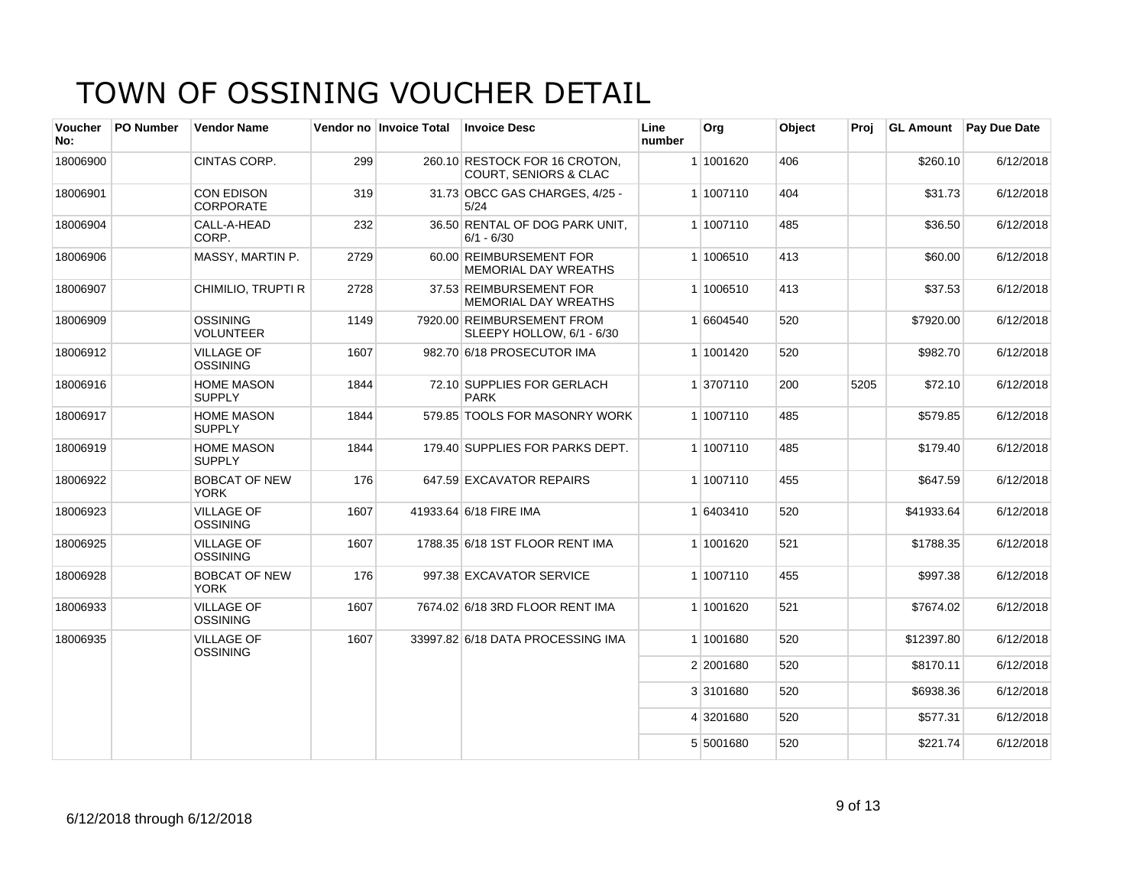| Voucher<br>No: | <b>PO Number</b> | <b>Vendor Name</b>                    |      | Vendor no Invoice Total | <b>Invoice Desc</b>                                               | Line<br>number | Org       | Object | Proj | <b>GL Amount</b> | <b>Pay Due Date</b> |
|----------------|------------------|---------------------------------------|------|-------------------------|-------------------------------------------------------------------|----------------|-----------|--------|------|------------------|---------------------|
| 18006900       |                  | CINTAS CORP.                          | 299  |                         | 260.10 RESTOCK FOR 16 CROTON.<br><b>COURT. SENIORS &amp; CLAC</b> |                | 1 1001620 | 406    |      | \$260.10         | 6/12/2018           |
| 18006901       |                  | <b>CON EDISON</b><br><b>CORPORATE</b> | 319  |                         | 31.73 OBCC GAS CHARGES, 4/25 -<br>5/24                            |                | 1 1007110 | 404    |      | \$31.73          | 6/12/2018           |
| 18006904       |                  | CALL-A-HEAD<br>CORP.                  | 232  |                         | 36.50 RENTAL OF DOG PARK UNIT.<br>$6/1 - 6/30$                    |                | 1 1007110 | 485    |      | \$36.50          | 6/12/2018           |
| 18006906       |                  | MASSY, MARTIN P.                      | 2729 |                         | 60.00 REIMBURSEMENT FOR<br><b>MEMORIAL DAY WREATHS</b>            |                | 1 1006510 | 413    |      | \$60.00          | 6/12/2018           |
| 18006907       |                  | CHIMILIO, TRUPTI R                    | 2728 |                         | 37.53 REIMBURSEMENT FOR<br>MEMORIAL DAY WREATHS                   |                | 1 1006510 | 413    |      | \$37.53          | 6/12/2018           |
| 18006909       |                  | <b>OSSINING</b><br><b>VOLUNTEER</b>   | 1149 |                         | 7920.00 REIMBURSEMENT FROM<br>SLEEPY HOLLOW, 6/1 - 6/30           |                | 1 6604540 | 520    |      | \$7920.00        | 6/12/2018           |
| 18006912       |                  | <b>VILLAGE OF</b><br><b>OSSINING</b>  | 1607 |                         | 982.70 6/18 PROSECUTOR IMA                                        |                | 1 1001420 | 520    |      | \$982.70         | 6/12/2018           |
| 18006916       |                  | <b>HOME MASON</b><br><b>SUPPLY</b>    | 1844 |                         | 72.10 SUPPLIES FOR GERLACH<br><b>PARK</b>                         |                | 1 3707110 | 200    | 5205 | \$72.10          | 6/12/2018           |
| 18006917       |                  | <b>HOME MASON</b><br><b>SUPPLY</b>    | 1844 |                         | 579.85 TOOLS FOR MASONRY WORK                                     |                | 1 1007110 | 485    |      | \$579.85         | 6/12/2018           |
| 18006919       |                  | <b>HOME MASON</b><br><b>SUPPLY</b>    | 1844 |                         | 179.40 SUPPLIES FOR PARKS DEPT.                                   |                | 1 1007110 | 485    |      | \$179.40         | 6/12/2018           |
| 18006922       |                  | <b>BOBCAT OF NEW</b><br><b>YORK</b>   | 176  |                         | 647.59 EXCAVATOR REPAIRS                                          |                | 1 1007110 | 455    |      | \$647.59         | 6/12/2018           |
| 18006923       |                  | <b>VILLAGE OF</b><br>OSSINING         | 1607 |                         | 41933.64 6/18 FIRE IMA                                            |                | 1 6403410 | 520    |      | \$41933.64       | 6/12/2018           |
| 18006925       |                  | <b>VILLAGE OF</b><br><b>OSSINING</b>  | 1607 |                         | 1788.35 6/18 1ST FLOOR RENT IMA                                   |                | 1 1001620 | 521    |      | \$1788.35        | 6/12/2018           |
| 18006928       |                  | <b>BOBCAT OF NEW</b><br><b>YORK</b>   | 176  |                         | 997.38 EXCAVATOR SERVICE                                          |                | 1 1007110 | 455    |      | \$997.38         | 6/12/2018           |
| 18006933       |                  | <b>VILLAGE OF</b><br><b>OSSINING</b>  | 1607 |                         | 7674.02 6/18 3RD FLOOR RENT IMA                                   |                | 1 1001620 | 521    |      | \$7674.02        | 6/12/2018           |
| 18006935       |                  | <b>VILLAGE OF</b><br><b>OSSINING</b>  | 1607 |                         | 33997.82 6/18 DATA PROCESSING IMA                                 |                | 1 1001680 | 520    |      | \$12397.80       | 6/12/2018           |
|                |                  |                                       |      |                         |                                                                   |                | 2 2001680 | 520    |      | \$8170.11        | 6/12/2018           |
|                |                  |                                       |      |                         |                                                                   |                | 3 3101680 | 520    |      | \$6938.36        | 6/12/2018           |
|                |                  |                                       |      |                         |                                                                   |                | 4 3201680 | 520    |      | \$577.31         | 6/12/2018           |
|                |                  |                                       |      |                         |                                                                   |                | 5 5001680 | 520    |      | \$221.74         | 6/12/2018           |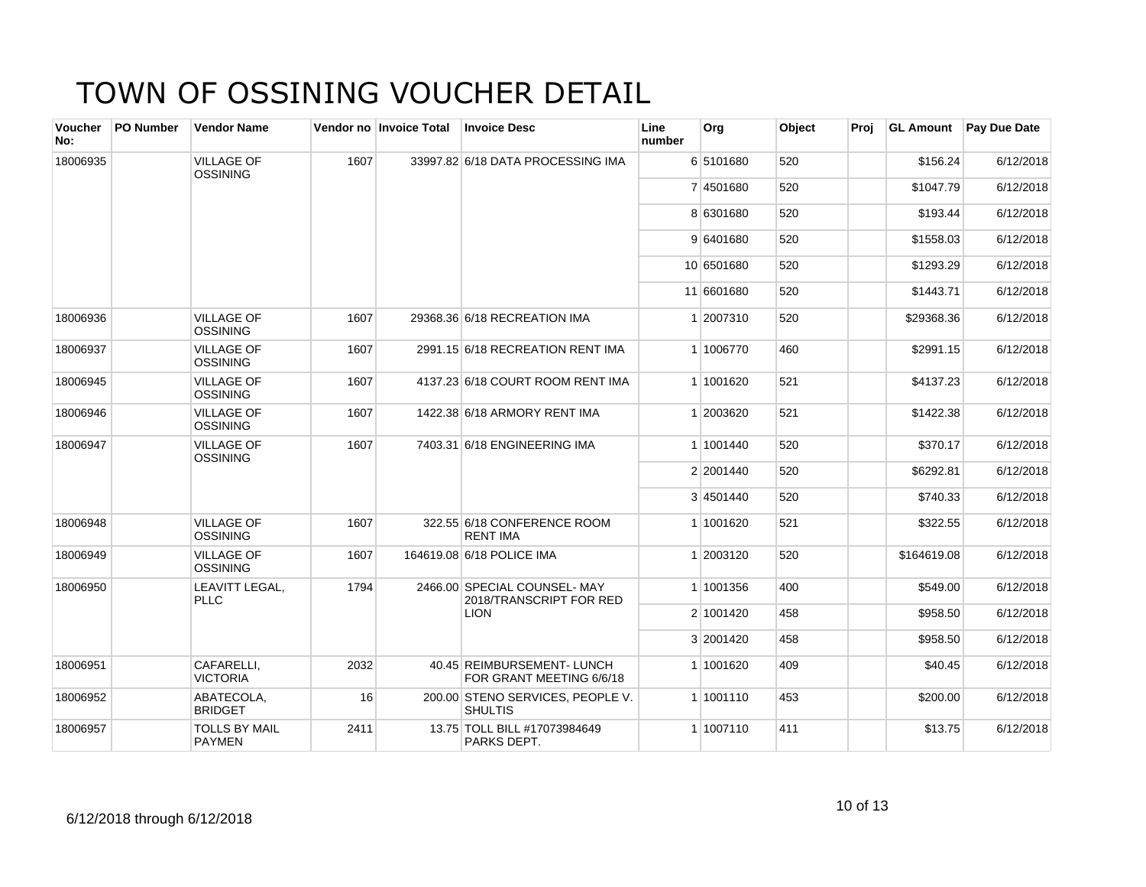| Voucher<br>No: | <b>PO Number</b> | <b>Vendor Name</b>                    |      | Vendor no Invoice Total | <b>Invoice Desc</b>                                    | Line<br>number | Org        | Object | Proj | <b>GL Amount</b> | Pay Due Date |
|----------------|------------------|---------------------------------------|------|-------------------------|--------------------------------------------------------|----------------|------------|--------|------|------------------|--------------|
| 18006935       |                  | <b>VILLAGE OF</b><br><b>OSSINING</b>  | 1607 |                         | 33997.82 6/18 DATA PROCESSING IMA                      |                | 6 5101680  | 520    |      | \$156.24         | 6/12/2018    |
|                |                  |                                       |      |                         |                                                        |                | 7 4501680  | 520    |      | \$1047.79        | 6/12/2018    |
|                |                  |                                       |      |                         |                                                        |                | 8 6301680  | 520    |      | \$193.44         | 6/12/2018    |
|                |                  |                                       |      |                         |                                                        |                | 9 6401680  | 520    |      | \$1558.03        | 6/12/2018    |
|                |                  |                                       |      |                         |                                                        |                | 10 6501680 | 520    |      | \$1293.29        | 6/12/2018    |
|                |                  |                                       |      |                         |                                                        |                | 11 6601680 | 520    |      | \$1443.71        | 6/12/2018    |
| 18006936       |                  | <b>VILLAGE OF</b><br><b>OSSINING</b>  | 1607 |                         | 29368.36 6/18 RECREATION IMA                           |                | 1 2007310  | 520    |      | \$29368.36       | 6/12/2018    |
| 18006937       |                  | <b>VILLAGE OF</b><br><b>OSSINING</b>  | 1607 |                         | 2991.15 6/18 RECREATION RENT IMA                       |                | 1 1006770  | 460    |      | \$2991.15        | 6/12/2018    |
| 18006945       |                  | <b>VILLAGE OF</b><br><b>OSSINING</b>  | 1607 |                         | 4137.23 6/18 COURT ROOM RENT IMA                       |                | 1 1001620  | 521    |      | \$4137.23        | 6/12/2018    |
| 18006946       |                  | <b>VILLAGE OF</b><br><b>OSSINING</b>  | 1607 |                         | 1422.38 6/18 ARMORY RENT IMA                           |                | 1 2003620  | 521    |      | \$1422.38        | 6/12/2018    |
| 18006947       |                  | <b>VILLAGE OF</b><br><b>OSSINING</b>  | 1607 |                         | 7403.31 6/18 ENGINEERING IMA                           |                | 1 1001440  | 520    |      | \$370.17         | 6/12/2018    |
|                |                  |                                       |      |                         |                                                        |                | 2 2001440  | 520    |      | \$6292.81        | 6/12/2018    |
|                |                  |                                       |      |                         |                                                        |                | 3 4501440  | 520    |      | \$740.33         | 6/12/2018    |
| 18006948       |                  | <b>VILLAGE OF</b><br><b>OSSINING</b>  | 1607 |                         | 322.55 6/18 CONFERENCE ROOM<br><b>RENT IMA</b>         |                | 1 1001620  | 521    |      | \$322.55         | 6/12/2018    |
| 18006949       |                  | <b>VILLAGE OF</b><br><b>OSSINING</b>  | 1607 |                         | 164619.08 6/18 POLICE IMA                              |                | 1 2003120  | 520    |      | \$164619.08      | 6/12/2018    |
| 18006950       |                  | LEAVITT LEGAL,<br><b>PLLC</b>         | 1794 |                         | 2466.00 SPECIAL COUNSEL-MAY<br>2018/TRANSCRIPT FOR RED |                | 1 1001356  | 400    |      | \$549.00         | 6/12/2018    |
|                |                  |                                       |      |                         | <b>LION</b>                                            |                | 2 1001420  | 458    |      | \$958.50         | 6/12/2018    |
|                |                  |                                       |      |                         |                                                        |                | 3 2001420  | 458    |      | \$958.50         | 6/12/2018    |
| 18006951       |                  | CAFARELLI,<br><b>VICTORIA</b>         | 2032 |                         | 40.45 REIMBURSEMENT- LUNCH<br>FOR GRANT MEETING 6/6/18 |                | 1 1001620  | 409    |      | \$40.45          | 6/12/2018    |
| 18006952       |                  | ABATECOLA,<br><b>BRIDGET</b>          | 16   |                         | 200.00 STENO SERVICES, PEOPLE V.<br><b>SHULTIS</b>     |                | 1 1001110  | 453    |      | \$200.00         | 6/12/2018    |
| 18006957       |                  | <b>TOLLS BY MAIL</b><br><b>PAYMEN</b> | 2411 |                         | 13.75 TOLL BILL #17073984649<br>PARKS DEPT.            |                | 1 1007110  | 411    |      | \$13.75          | 6/12/2018    |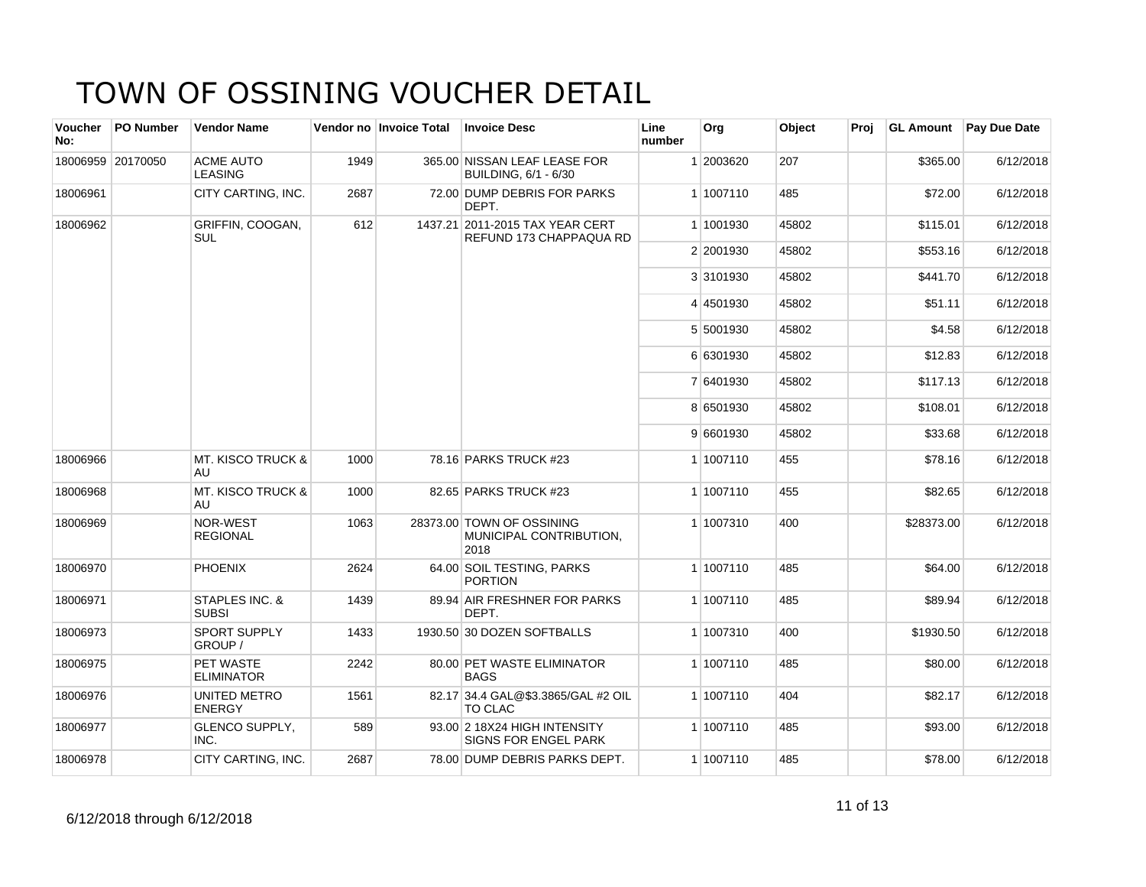| <b>Voucher</b><br>No: | <b>PO Number</b>  | <b>Vendor Name</b>                 |      | Vendor no Invoice Total | <b>Invoice Desc</b>                                          | Line<br>number | Org       | Object | Proj | <b>GL Amount</b> | Pay Due Date |
|-----------------------|-------------------|------------------------------------|------|-------------------------|--------------------------------------------------------------|----------------|-----------|--------|------|------------------|--------------|
|                       | 18006959 20170050 | <b>ACME AUTO</b><br><b>LEASING</b> | 1949 |                         | 365.00 NISSAN LEAF LEASE FOR<br>BUILDING, 6/1 - 6/30         |                | 1 2003620 | 207    |      | \$365.00         | 6/12/2018    |
| 18006961              |                   | CITY CARTING. INC.                 | 2687 |                         | 72.00 DUMP DEBRIS FOR PARKS<br>DEPT.                         |                | 1 1007110 | 485    |      | \$72.00          | 6/12/2018    |
| 18006962              |                   | GRIFFIN, COOGAN,<br><b>SUL</b>     | 612  |                         | 1437.21 2011-2015 TAX YEAR CERT<br>REFUND 173 CHAPPAQUA RD   |                | 1 1001930 | 45802  |      | \$115.01         | 6/12/2018    |
|                       |                   |                                    |      |                         |                                                              |                | 2 2001930 | 45802  |      | \$553.16         | 6/12/2018    |
|                       |                   |                                    |      |                         |                                                              |                | 3 3101930 | 45802  |      | \$441.70         | 6/12/2018    |
|                       |                   |                                    |      |                         |                                                              |                | 4 4501930 | 45802  |      | \$51.11          | 6/12/2018    |
|                       |                   |                                    |      |                         |                                                              |                | 5 5001930 | 45802  |      | \$4.58           | 6/12/2018    |
|                       |                   |                                    |      |                         |                                                              |                | 6 6301930 | 45802  |      | \$12.83          | 6/12/2018    |
|                       |                   |                                    |      |                         |                                                              |                | 7 6401930 | 45802  |      | \$117.13         | 6/12/2018    |
|                       |                   |                                    |      |                         |                                                              |                | 8 6501930 | 45802  |      | \$108.01         | 6/12/2018    |
|                       |                   |                                    |      |                         |                                                              |                | 9 6601930 | 45802  |      | \$33.68          | 6/12/2018    |
| 18006966              |                   | <b>MT. KISCO TRUCK &amp;</b><br>AU | 1000 |                         | 78.16 PARKS TRUCK #23                                        |                | 1 1007110 | 455    |      | \$78.16          | 6/12/2018    |
| 18006968              |                   | <b>MT. KISCO TRUCK &amp;</b><br>AU | 1000 |                         | 82.65 PARKS TRUCK #23                                        |                | 1 1007110 | 455    |      | \$82.65          | 6/12/2018    |
| 18006969              |                   | NOR-WEST<br><b>REGIONAL</b>        | 1063 |                         | 28373.00 TOWN OF OSSINING<br>MUNICIPAL CONTRIBUTION,<br>2018 |                | 1 1007310 | 400    |      | \$28373.00       | 6/12/2018    |
| 18006970              |                   | <b>PHOENIX</b>                     | 2624 |                         | 64.00 SOIL TESTING, PARKS<br><b>PORTION</b>                  |                | 1 1007110 | 485    |      | \$64.00          | 6/12/2018    |
| 18006971              |                   | STAPLES INC. &<br><b>SUBSI</b>     | 1439 |                         | 89.94 AIR FRESHNER FOR PARKS<br>DEPT.                        |                | 1 1007110 | 485    |      | \$89.94          | 6/12/2018    |
| 18006973              |                   | <b>SPORT SUPPLY</b><br>GROUP /     | 1433 |                         | 1930.50 30 DOZEN SOFTBALLS                                   |                | 1 1007310 | 400    |      | \$1930.50        | 6/12/2018    |
| 18006975              |                   | PET WASTE<br><b>ELIMINATOR</b>     | 2242 |                         | 80.00 PET WASTE ELIMINATOR<br><b>BAGS</b>                    |                | 1 1007110 | 485    |      | \$80.00          | 6/12/2018    |
| 18006976              |                   | UNITED METRO<br><b>ENERGY</b>      | 1561 |                         | 82.17 34.4 GAL@\$3.3865/GAL #2 OIL<br><b>TO CLAC</b>         |                | 1 1007110 | 404    |      | \$82.17          | 6/12/2018    |
| 18006977              |                   | <b>GLENCO SUPPLY,</b><br>INC.      | 589  |                         | 93.00 2 18X24 HIGH INTENSITY<br>SIGNS FOR ENGEL PARK         |                | 1 1007110 | 485    |      | \$93.00          | 6/12/2018    |
| 18006978              |                   | CITY CARTING, INC.                 | 2687 |                         | 78.00 DUMP DEBRIS PARKS DEPT.                                |                | 1 1007110 | 485    |      | \$78.00          | 6/12/2018    |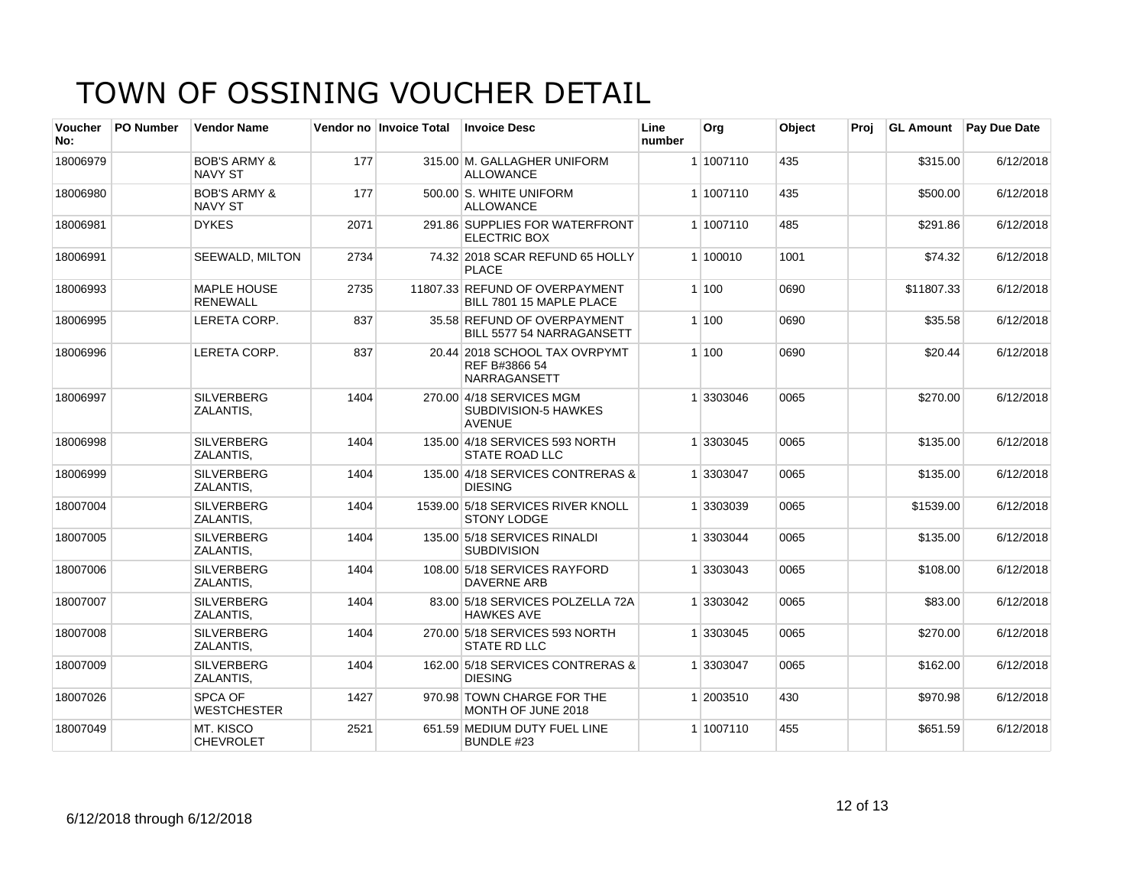| <b>Voucher</b><br>No: | <b>PO Number</b> | <b>Vendor Name</b>                        |      | Vendor no Invoice Total | <b>Invoice Desc</b>                                                      | Line<br>number | Org       | Object | Proj | <b>GL Amount</b> | <b>Pay Due Date</b> |
|-----------------------|------------------|-------------------------------------------|------|-------------------------|--------------------------------------------------------------------------|----------------|-----------|--------|------|------------------|---------------------|
| 18006979              |                  | <b>BOB'S ARMY &amp;</b><br><b>NAVY ST</b> | 177  |                         | 315.00 M. GALLAGHER UNIFORM<br><b>ALLOWANCE</b>                          |                | 1 1007110 | 435    |      | \$315.00         | 6/12/2018           |
| 18006980              |                  | <b>BOB'S ARMY &amp;</b><br><b>NAVY ST</b> | 177  |                         | 500.00 S. WHITE UNIFORM<br><b>ALLOWANCE</b>                              |                | 1 1007110 | 435    |      | \$500.00         | 6/12/2018           |
| 18006981              |                  | <b>DYKES</b>                              | 2071 |                         | 291.86 SUPPLIES FOR WATERFRONT<br><b>ELECTRIC BOX</b>                    |                | 1 1007110 | 485    |      | \$291.86         | 6/12/2018           |
| 18006991              |                  | <b>SEEWALD, MILTON</b>                    | 2734 |                         | 74.32 2018 SCAR REFUND 65 HOLLY<br><b>PLACE</b>                          |                | 1 100010  | 1001   |      | \$74.32          | 6/12/2018           |
| 18006993              |                  | <b>MAPLE HOUSE</b><br><b>RENEWALL</b>     | 2735 |                         | 11807.33 REFUND OF OVERPAYMENT<br>BILL 7801 15 MAPLE PLACE               |                | 1 100     | 0690   |      | \$11807.33       | 6/12/2018           |
| 18006995              |                  | LERETA CORP.                              | 837  |                         | 35.58 REFUND OF OVERPAYMENT<br>BILL 5577 54 NARRAGANSETT                 |                | 1 100     | 0690   |      | \$35.58          | 6/12/2018           |
| 18006996              |                  | LERETA CORP.                              | 837  |                         | 20.44 2018 SCHOOL TAX OVRPYMT<br>REF B#3866 54<br>NARRAGANSETT           |                | 1 100     | 0690   |      | \$20.44          | 6/12/2018           |
| 18006997              |                  | <b>SILVERBERG</b><br>ZALANTIS,            | 1404 |                         | 270.00 4/18 SERVICES MGM<br><b>SUBDIVISION-5 HAWKES</b><br><b>AVENUE</b> |                | 1 3303046 | 0065   |      | \$270.00         | 6/12/2018           |
| 18006998              |                  | <b>SILVERBERG</b><br>ZALANTIS,            | 1404 |                         | 135.00 4/18 SERVICES 593 NORTH<br><b>STATE ROAD LLC</b>                  |                | 1 3303045 | 0065   |      | \$135.00         | 6/12/2018           |
| 18006999              |                  | <b>SILVERBERG</b><br>ZALANTIS,            | 1404 |                         | 135.00 4/18 SERVICES CONTRERAS &<br><b>DIESING</b>                       |                | 1 3303047 | 0065   |      | \$135.00         | 6/12/2018           |
| 18007004              |                  | <b>SILVERBERG</b><br>ZALANTIS,            | 1404 |                         | 1539.00 5/18 SERVICES RIVER KNOLL<br><b>STONY LODGE</b>                  |                | 1 3303039 | 0065   |      | \$1539.00        | 6/12/2018           |
| 18007005              |                  | <b>SILVERBERG</b><br>ZALANTIS,            | 1404 |                         | 135.00 5/18 SERVICES RINALDI<br><b>SUBDIVISION</b>                       |                | 1 3303044 | 0065   |      | \$135.00         | 6/12/2018           |
| 18007006              |                  | <b>SILVERBERG</b><br>ZALANTIS,            | 1404 |                         | 108.00 5/18 SERVICES RAYFORD<br><b>DAVERNE ARB</b>                       |                | 1 3303043 | 0065   |      | \$108.00         | 6/12/2018           |
| 18007007              |                  | <b>SILVERBERG</b><br>ZALANTIS.            | 1404 |                         | 83.00 5/18 SERVICES POLZELLA 72A<br><b>HAWKES AVE</b>                    |                | 1 3303042 | 0065   |      | \$83.00          | 6/12/2018           |
| 18007008              |                  | <b>SILVERBERG</b><br>ZALANTIS.            | 1404 |                         | 270.00 5/18 SERVICES 593 NORTH<br><b>STATE RD LLC</b>                    |                | 1 3303045 | 0065   |      | \$270.00         | 6/12/2018           |
| 18007009              |                  | <b>SILVERBERG</b><br>ZALANTIS,            | 1404 |                         | 162.00 5/18 SERVICES CONTRERAS &<br><b>DIESING</b>                       |                | 1 3303047 | 0065   |      | \$162.00         | 6/12/2018           |
| 18007026              |                  | <b>SPCA OF</b><br><b>WESTCHESTER</b>      | 1427 |                         | 970.98 TOWN CHARGE FOR THE<br>MONTH OF JUNE 2018                         |                | 1 2003510 | 430    |      | \$970.98         | 6/12/2018           |
| 18007049              |                  | MT. KISCO<br><b>CHEVROLET</b>             | 2521 |                         | 651.59 MEDIUM DUTY FUEL LINE<br>BUNDLE #23                               |                | 1 1007110 | 455    |      | \$651.59         | 6/12/2018           |